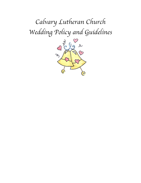## *Calvary Lutheran Church Wedding Policy and Guidelines*

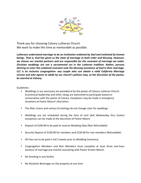

Thank you for choosing Calvary Lutheran Church We want to make this time as memorable as possible.

Lutherans understand marriage to be an institution ordained by God and instituted by human *beings.* That is, God has given us the state of marriage as both order and blessing. However, we choose our marital partners and are responsible for the covenant of marriage we make. *Christian* weddings are not a sacramental act in the Lutheran tradition. Rather, persons *desiring to enter this ordained covenant seek the blessing assistance of God in their marriage. CLC is an inclusive congregation- any couple who can obtain a valid California Marriage*  License and who agrees to abide by our church's policies may, at the discretion of the pastor, *be married at Calvary.*

Guidelines:

- Weddings in our sanctuary are presided at by the pastor of Calvary Lutheran Church. Ecumenical leadership and other clergy are welcomed to participate based on conversation with the pastor of Calvary. Exceptions may be made in emergency situations at Pastor Moore's discretion.
- The Altar Linens and various furnishings do not change color for weddings.
- Weddings are not scheduled during the time of Lent (Ash Wednesday thru Easter) exceptions can be made at the discretion of Pastor Moore
- Deposit of \$100.00 to be paid to reserve Wedding Date (Non Refundable)
- Security Deposit of \$100.00 for members and \$150.00 for non-members (Refundable)
- All Fees are to be paid in full 2 weeks prior to Wedding Ceremony
- Congregation Members and Non Members must complete at least three one-hour sessions of marriage pre-marital counseling with Pastor Kirsten Moore.
- No Smoking in any facility
- No Alcoholic Beverages on the property at any time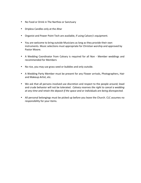- No Food or Drink in The Narthex or Sanctuary
- Dripless Candles only at the Altar
- Organist and Power Point Tech are available, if using Calvary's equipment.
- You are welcome to bring outside Musicians as long as they provide their own instruments. Music selections must appropriate for Christian worship and approved by Pastor Moore.
- A Wedding Coordinator from Calvary is required for all Non Member weddings and recommended for Members
- No rice, you may use grass seed or bubbles and only outside.
- A Wedding Party Member must be present for any Flower arrivals, Photographers, Hair and Makeup Artist, etc.
- We ask that all persons involved use discretion and respect to the people around; lewd and crude behavior will not be tolerated. *Calvary reserves the right to cancel a wedding* at any time and retain the deposit if the space and or individuals are being disrespected.
- All personal belongings must be picked up before you leave the Church. CLC assumes no responsibility for your items.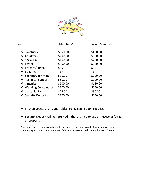

|                        | Members*   | $Non-Members$ |
|------------------------|------------|---------------|
| ❖ Sanctuary            | \$350.00   | \$450.00      |
| ❖ Courtyard            | \$200.00   | \$300.00      |
| ❖ Social Hall          | \$100.00   | \$200.00      |
| ❖ Pastor               | \$200.00   | \$250.00      |
| ❖ Prepare/Enrich       | \$35       | \$35          |
| ❖ Bulletins            | <b>TBA</b> | <b>TBA</b>    |
| ❖ Secretary (printing) | \$50.00    | \$100.00      |
| ❖ Technical Support    | \$50.00    | \$100.00      |
| ❖ Organist             | \$100.00   | \$150.00      |
| ❖ Wedding Coordinator  | \$100.00   | \$150.00      |
| ❖ Custodial Fees       | \$25.00    | \$50.00       |
| ❖ Security Deposit     | \$100.00   | \$150.00      |
|                        |            |               |

## v Kitchen Space, Chairs and Tables are available upon request.

## ◆ Security Deposit will be returned if there is no damage or misuse of facility or property

\* member rates are in place when at least one of the wedding couple, has been an actively communing and contributing member of Calvary Lutheran Church during the past 12 months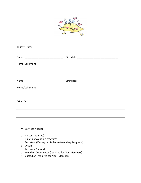

| Today's Date: ________________________________ |  |
|------------------------------------------------|--|
|                                                |  |
|                                                |  |
|                                                |  |
|                                                |  |
|                                                |  |
| <b>Bridal Party:</b>                           |  |
|                                                |  |
|                                                |  |
| ❖ Services Needed                              |  |
| .                                              |  |

- o Pastor (required)
- o Bulletins/Wedding Programs
- o Secretary (if using our Bulletins/Wedding Programs)
- o Organist
- o Technical Support
- o Wedding Coordinator (required for Non-Members)
- o Custodian (required for Non -Members)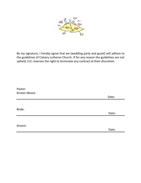

By my signature, I hereby agree that we (wedding party and guest) will adhere to the guidelines of Calvary Lutheran Church. If for any reason the guidelines are not upheld, CLC reserves the right to terminate any contract at their discretion.

| Pastor:<br>Kirsten Moore |       |
|--------------------------|-------|
|                          | Date: |
|                          |       |
| Bride:                   |       |
|                          | Date: |
|                          |       |
| Groom:                   |       |
|                          | Date: |